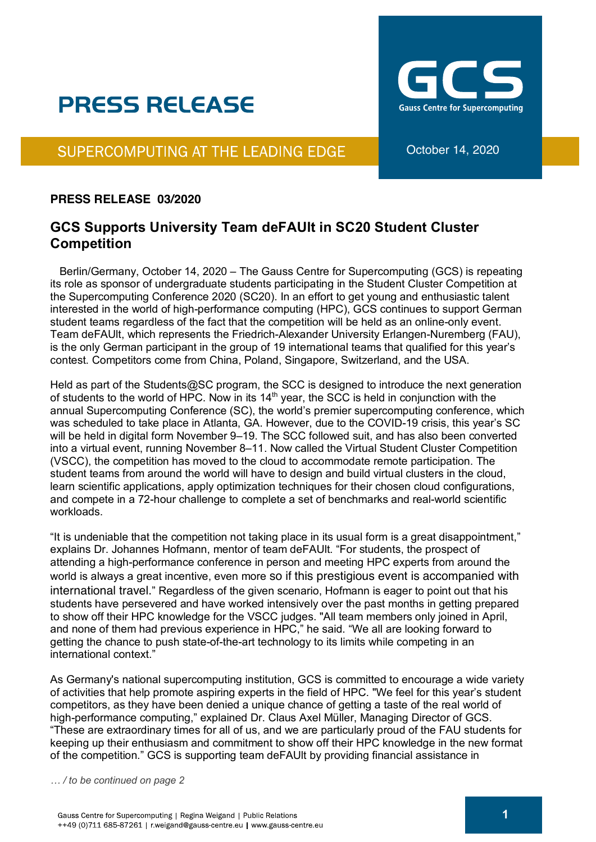## **PRESS RELEASE**

SUPERCOMPUTING AT THE LEADING EDGE

## **PRESS RELEASE 03/2020**

## **GCS Supports University Team deFAUlt in SC20 Student Cluster Competition**

 Berlin/Germany, October 14, 2020 – The Gauss Centre for Supercomputing (GCS) is repeating its role as sponsor of undergraduate students participating in the Student Cluster Competition at the Supercomputing Conference 2020 (SC20). In an effort to get young and enthusiastic talent interested in the world of high-performance computing (HPC), GCS continues to support German student teams regardless of the fact that the competition will be held as an online-only event. Team deFAUlt, which represents the Friedrich-Alexander University Erlangen-Nuremberg (FAU), is the only German participant in the group of 19 international teams that qualified for this year's contest. Competitors come from China, Poland, Singapore, Switzerland, and the USA.

Held as part of the Students@SC program, the SCC is designed to introduce the next generation of students to the world of HPC. Now in its  $14<sup>th</sup>$  year, the SCC is held in conjunction with the annual Supercomputing Conference (SC), the world's premier supercomputing conference, which was scheduled to take place in Atlanta, GA. However, due to the COVID-19 crisis, this year's SC will be held in digital form November 9–19. The SCC followed suit, and has also been converted into a virtual event, running November 8–11. Now called the Virtual Student Cluster Competition (VSCC), the competition has moved to the cloud to accommodate remote participation. The student teams from around the world will have to design and build virtual clusters in the cloud, learn scientific applications, apply optimization techniques for their chosen cloud configurations, and compete in a 72-hour challenge to complete a set of benchmarks and real-world scientific workloads.

"It is undeniable that the competition not taking place in its usual form is a great disappointment," explains Dr. Johannes Hofmann, mentor of team deFAUlt. "For students, the prospect of attending a high-performance conference in person and meeting HPC experts from around the world is always a great incentive, even more so if this prestigious event is accompanied with international travel." Regardless of the given scenario, Hofmann is eager to point out that his students have persevered and have worked intensively over the past months in getting prepared to show off their HPC knowledge for the VSCC judges. "All team members only joined in April, and none of them had previous experience in HPC," he said. "We all are looking forward to getting the chance to push state-of-the-art technology to its limits while competing in an international context."

As Germany's national supercomputing institution, GCS is committed to encourage a wide variety of activities that help promote aspiring experts in the field of HPC. "We feel for this year's student competitors, as they have been denied a unique chance of getting a taste of the real world of high-performance computing," explained Dr. Claus Axel Müller, Managing Director of GCS. "These are extraordinary times for all of us, and we are particularly proud of the FAU students for keeping up their enthusiasm and commitment to show off their HPC knowledge in the new format of the competition." GCS is supporting team deFAUlt by providing financial assistance in

*… / to be continued on page 2*



October 14, 2020